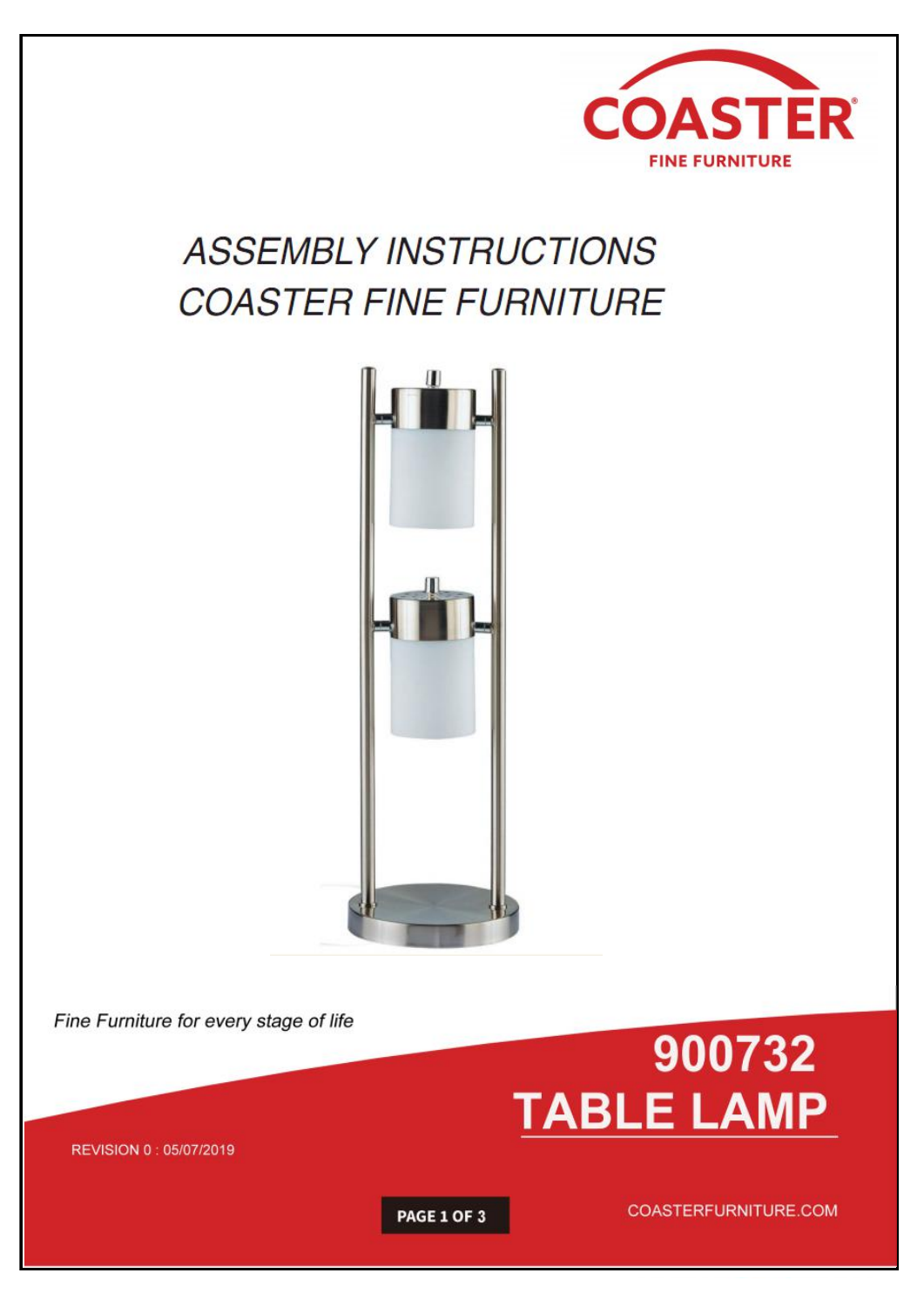

# **ASSEMBLY INSTRUCTIONS COASTER FINE FURNITURE**



Fine Furniture for every stage of life



REVISION 0: 05/07/2019

PAGE 1 OF 3

COASTERFURNITURE.COM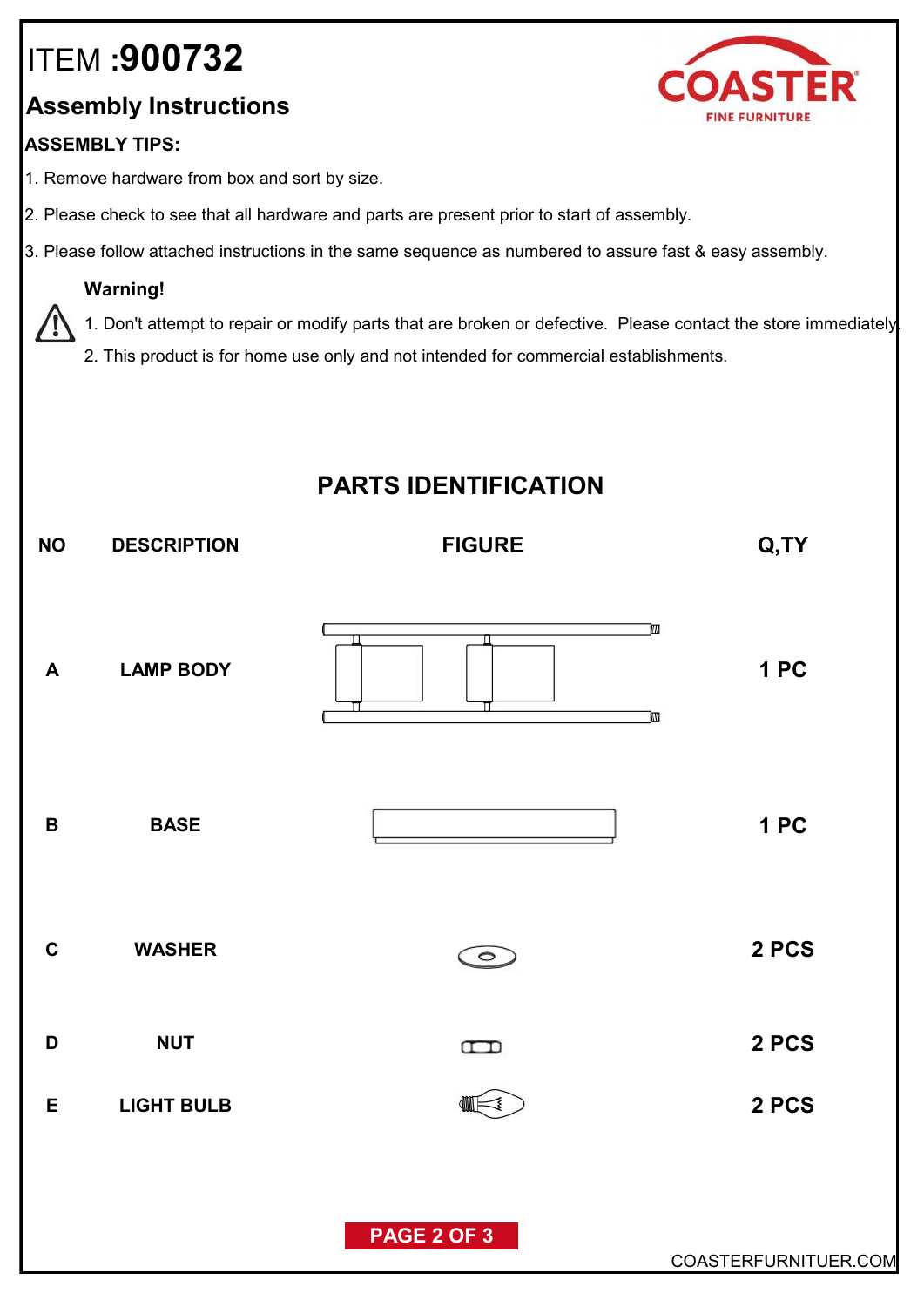# ITEM **:900732**

### **Assembly Instructions**

#### **ASSEMBLY TIPS:**

- 1. Remove hardware from box and sort by size.
- 2. Please check to see that all hardware and parts are present prior to start of assembly.
- 3. Please follow attached instructions in the same sequence as numbered to assure fast & easy assembly.

#### **Warning!**

1. Don't attempt to repair or modify parts that are broken or defective. Please contact the store immediately.

2. This product is for home use only and not intended for commercial establishments.

## **PARTS IDENTIFICATION**



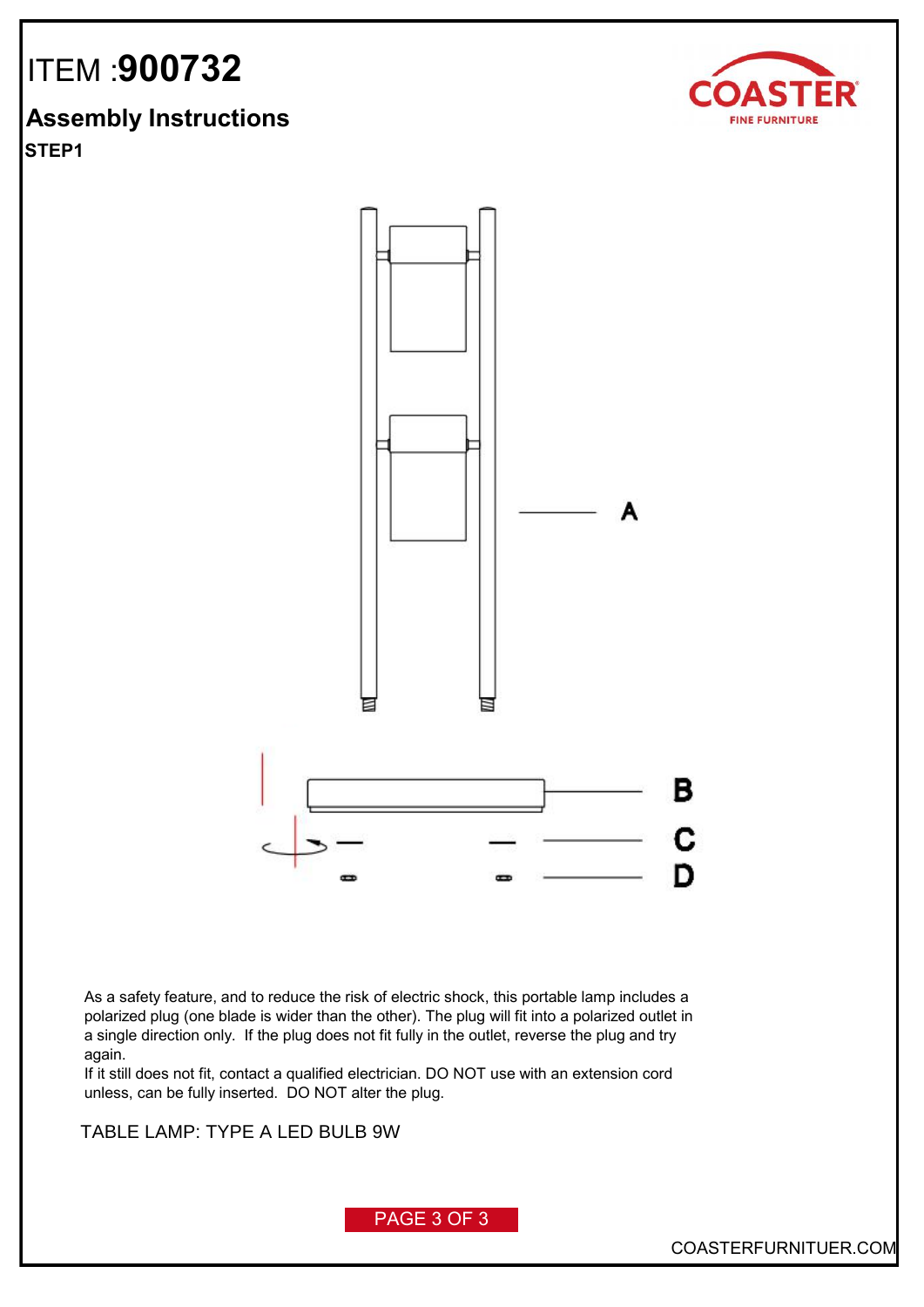

### **Assembly Instructions**

**STEP1**



As a safety feature, and to reduce the risk of electric shock, this portable lamp includes a polarized plug (one blade is wider than the other). The plug will fit into a polarized outlet in a single direction only. If the plug does not fit fully in the outlet, reverse the plug and try again.

If it still does not fit, contact a qualified electrician. DO NOT use with an extension cord unless, can be fully inserted. DO NOT alter the plug.

**FLOOR LAMP:TYPE A LED BULB 9W** TABLE LAMP: TYPE A LED BULB 9W



PAGE 3 OF 3

COASTERFURNITUER.COM